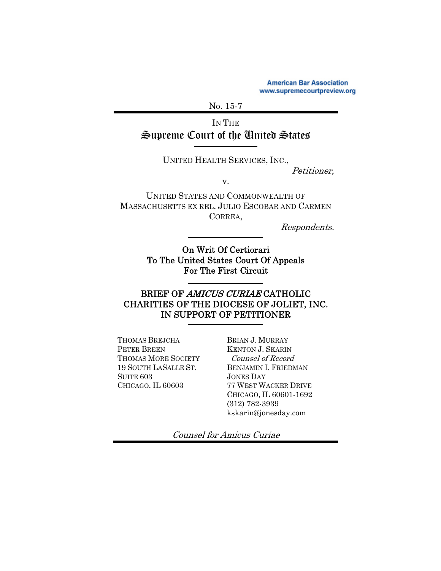**American Bar Association** www.supremecourtpreview.org

No. 15-7

IN THE Supreme Court of the United States

UNITED HEALTH SERVICES, INC.,

Petitioner,

v.

UNITED STATES AND COMMONWEALTH OF MASSACHUSETTS EX REL. JULIO ESCOBAR AND CARMEN CORREA,

Respondents.

On Writ Of Certiorari To The United States Court Of Appeals For The First Circuit

### BRIEF OF AMICUS CURIAE CATHOLIC CHARITIES OF THE DIOCESE OF JOLIET, INC. IN SUPPORT OF PETITIONER

THOMAS BREJCHA PETER BREEN THOMAS MORE SOCIETY 19 SOUTH LASALLE ST. SUITE 603 CHICAGO, IL 60603

BRIAN J. MURRAY KENTON J. SKARIN Counsel of Record BENJAMIN I. FRIEDMAN JONES DAY 77 WEST WACKER DRIVE CHICAGO, IL 60601-1692 (312) 782-3939 kskarin@jonesday.com

Counsel for Amicus Curiae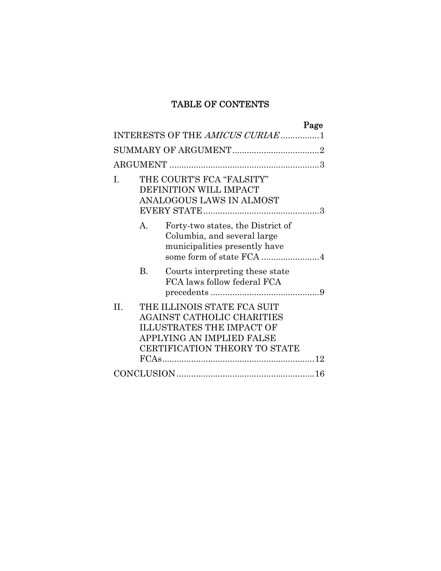### TABLE OF CONTENTS

|         |                                                                                 |                                                                                                                                                             | Page |
|---------|---------------------------------------------------------------------------------|-------------------------------------------------------------------------------------------------------------------------------------------------------------|------|
|         |                                                                                 | INTERESTS OF THE AMICUS CURIAE 1                                                                                                                            |      |
|         |                                                                                 |                                                                                                                                                             |      |
|         |                                                                                 |                                                                                                                                                             |      |
| I.      | THE COURT'S FCA "FALSITY"<br>DEFINITION WILL IMPACT<br>ANALOGOUS LAWS IN ALMOST |                                                                                                                                                             |      |
|         | $\mathbf{A}$                                                                    | Forty-two states, the District of<br>Columbia, and several large<br>municipalities presently have                                                           |      |
|         | B.                                                                              | Courts interpreting these state<br>FCA laws follow federal FCA                                                                                              |      |
| $\Pi$ . |                                                                                 | THE ILLINOIS STATE FCA SUIT<br>AGAINST CATHOLIC CHARITIES<br><b>ILLUSTRATES THE IMPACT OF</b><br>APPLYING AN IMPLIED FALSE<br>CERTIFICATION THEORY TO STATE |      |
|         |                                                                                 |                                                                                                                                                             |      |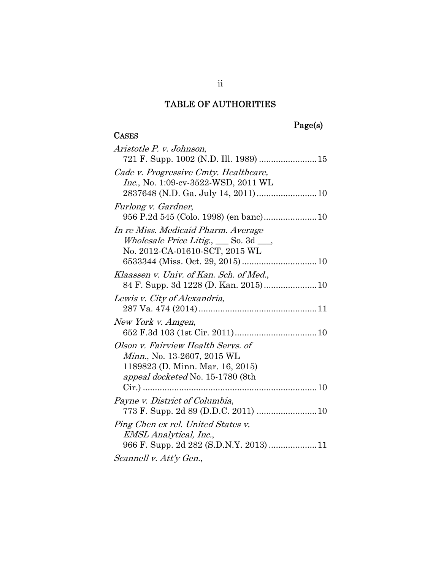# Page(s)

### **CASES**

| Aristotle P. v. Johnson,                                                                                                                                 |
|----------------------------------------------------------------------------------------------------------------------------------------------------------|
| Cade v. Progressive Cmty. Healthcare,<br>Inc., No. 1:09-cv-3522-WSD, 2011 WL                                                                             |
| Furlong v. Gardner,                                                                                                                                      |
| In re Miss. Medicaid Pharm. Average<br>Wholesale Price Litig., So. 3d __,<br>No. 2012-CA-01610-SCT, 2015 WL                                              |
| Klaassen v. Univ. of Kan. Sch. of Med.,                                                                                                                  |
| Lewis v. City of Alexandria,                                                                                                                             |
| New York v. Amgen,                                                                                                                                       |
| Olson v. Fairview Health Servs. of<br><i>Minn.</i> , No. 13-2607, 2015 WL<br>1189823 (D. Minn. Mar. 16, 2015)<br><i>appeal docketed</i> No. 15-1780 (8th |
| Payne v. District of Columbia,                                                                                                                           |
| Ping Chen ex rel. United States v.<br><i>EMSL Analytical, Inc.,</i><br>966 F. Supp. 2d 282 (S.D.N.Y. 2013)  11                                           |
| Scannell v. Att'y Gen.,                                                                                                                                  |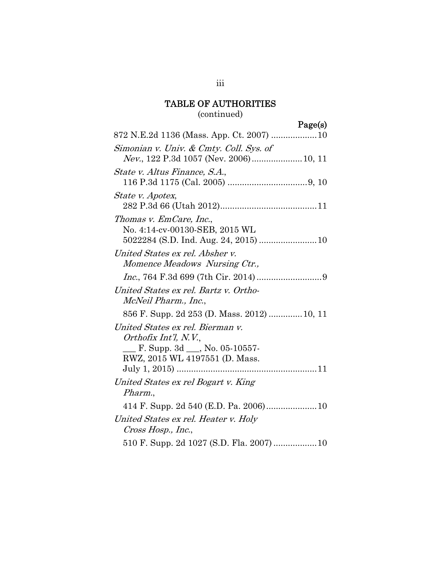### (continued)

Page(s)

| Simonian v. Univ. & Cmty. Coll. Sys. of     |
|---------------------------------------------|
|                                             |
| State v. Altus Finance, S.A.,               |
|                                             |
| <i>State v. Apotex,</i>                     |
|                                             |
| Thomas v. EmCare, Inc.,                     |
| No. 4:14-cv-00130-SEB, 2015 WL              |
|                                             |
| United States ex rel. Absher v.             |
| Momence Meadows Nursing Ctr.,               |
|                                             |
| United States ex rel. Bartz v. Ortho-       |
| McNeil Pharm., Inc.,                        |
| 856 F. Supp. 2d 253 (D. Mass. 2012)  10, 11 |
| United States ex rel. Bierman v.            |
| Orthofix Int'l, N.V.,                       |
| F. Supp. 3d $\_\_\_\$ , No. 05-10557-       |
| RWZ, 2015 WL 4197551 (D. Mass.              |
|                                             |
| United States ex rel Bogart v. King         |
| Pharm.,                                     |
|                                             |
| United States ex rel. Heater v. Holy        |
| Cross Hosp., Inc.,                          |
|                                             |

iii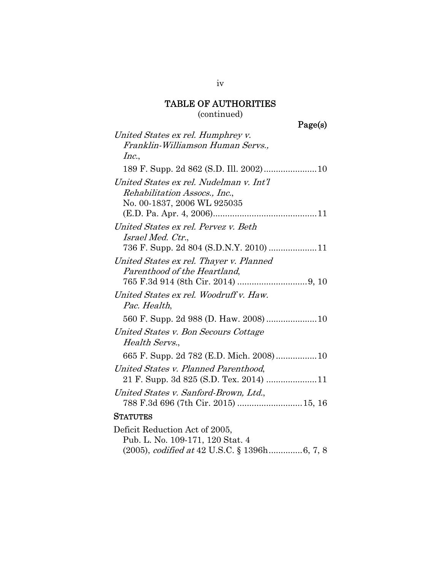### (continued)

Page(s)

| United States ex rel. Humphrey v.       |
|-----------------------------------------|
| Franklin-Williamson Human Servs.,       |
| Inc.,                                   |
|                                         |
| United States ex rel. Nudelman v. Int'l |
| Rehabilitation Assocs., Inc.,           |
| No. 00-1837, 2006 WL 925035             |
|                                         |
| United States ex rel. Pervez v. Beth    |
| <i>Israel Med. Ctr.,</i>                |
| 736 F. Supp. 2d 804 (S.D.N.Y. 2010) 11  |
| United States ex rel. Thayer v. Planned |
| Parenthood of the Heartland,            |
|                                         |
| United States ex rel. Woodruff v. Haw.  |
| Pac. Health,                            |
|                                         |
| United States v. Bon Secours Cottage    |
| Health Servs.,                          |
|                                         |
| United States v. Planned Parenthood,    |
|                                         |
| United States v. Sanford-Brown, Ltd.,   |
| 788 F.3d 696 (7th Cir. 2015)  15, 16    |
| <b>STATUTES</b>                         |
| Deficit Reduction Act of 2005,          |
| Pub. L. No. 109-171, 120 Stat. 4        |

(2005), codified at 42 U.S.C. § 1396h .............. 6, 7, 8

iv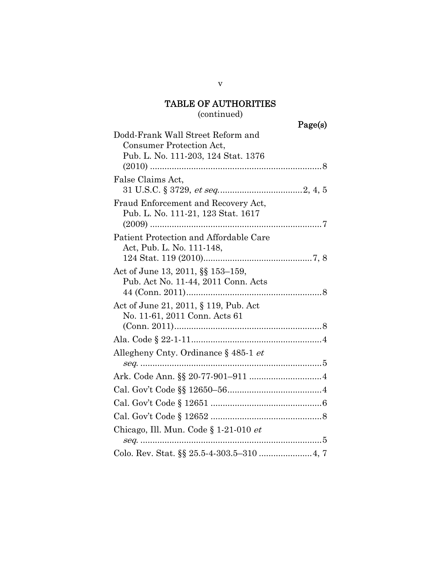# (continued)

| Dodd-Frank Wall Street Reform and           |
|---------------------------------------------|
| Consumer Protection Act,                    |
| Pub. L. No. 111-203, 124 Stat. 1376         |
|                                             |
| False Claims Act,                           |
|                                             |
| Fraud Enforcement and Recovery Act,         |
| Pub. L. No. 111-21, 123 Stat. 1617          |
|                                             |
| Patient Protection and Affordable Care      |
| Act, Pub. L. No. 111-148,                   |
|                                             |
| Act of June 13, 2011, §§ 153-159,           |
| Pub. Act No. 11-44, 2011 Conn. Acts         |
|                                             |
| Act of June 21, 2011, § 119, Pub. Act       |
| No. 11-61, 2011 Conn. Acts 61               |
|                                             |
|                                             |
| Allegheny Cnty. Ordinance § 485-1 <i>et</i> |
|                                             |
|                                             |
|                                             |
|                                             |
|                                             |
| Chicago, Ill. Mun. Code § 1-21-010 et       |
|                                             |
|                                             |
|                                             |

v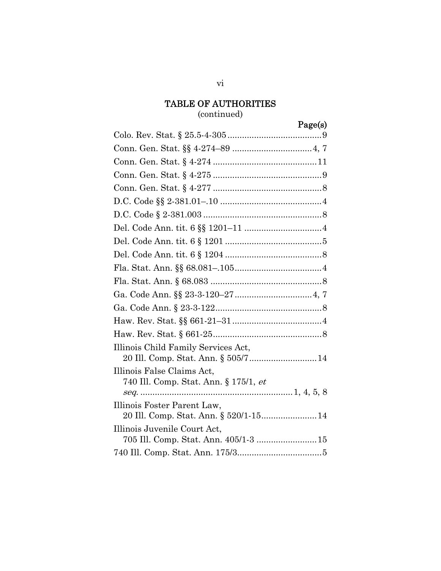### (continued)

Page(s)

| Illinois Child Family Services Act,                                   |
|-----------------------------------------------------------------------|
| Illinois False Claims Act,                                            |
| 740 Ill. Comp. Stat. Ann. § 175/1, et                                 |
| Illinois Foster Parent Law,<br>20 Ill. Comp. Stat. Ann. § 520/1-15 14 |
| Illinois Juvenile Court Act,<br>705 Ill. Comp. Stat. Ann. 405/1-3  15 |
|                                                                       |

vi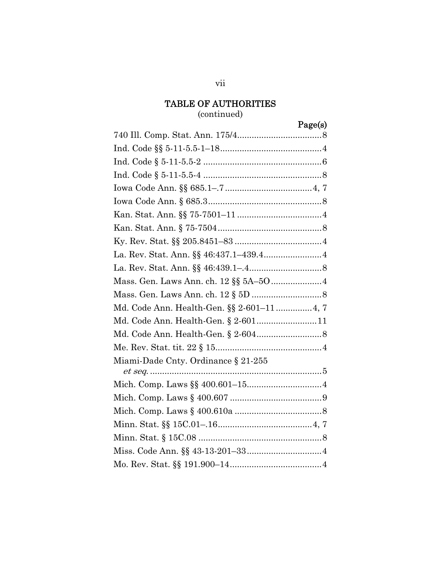# (continued)

Page(s)

| Md. Code Ann. Health-Gen. §§ 2-601–11 4, 7 |
|--------------------------------------------|
|                                            |
|                                            |
|                                            |
| Miami-Dade Cnty. Ordinance § 21-255        |
|                                            |
|                                            |
|                                            |
|                                            |
|                                            |
|                                            |
|                                            |
|                                            |

vii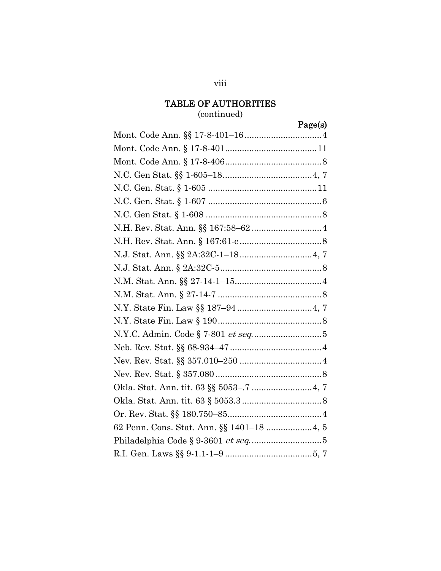### (continued)

# Page(s)

| 62 Penn. Cons. Stat. Ann. §§ 1401-18  4, 5 |
|--------------------------------------------|
|                                            |
|                                            |

#### viii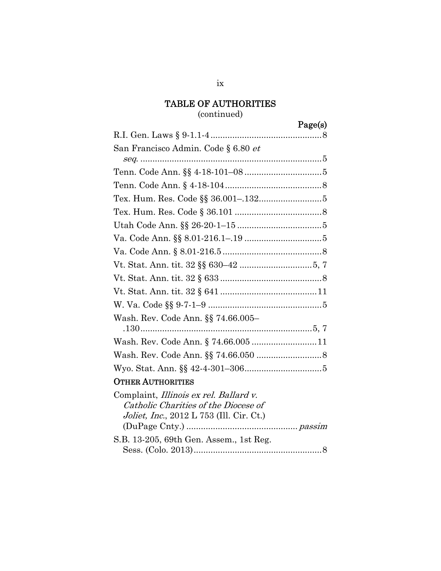ix

# (continued)

# Page(s)

| San Francisco Admin. Code § 6.80 <i>et</i>                                                                                         |
|------------------------------------------------------------------------------------------------------------------------------------|
|                                                                                                                                    |
|                                                                                                                                    |
|                                                                                                                                    |
|                                                                                                                                    |
|                                                                                                                                    |
|                                                                                                                                    |
|                                                                                                                                    |
|                                                                                                                                    |
|                                                                                                                                    |
|                                                                                                                                    |
|                                                                                                                                    |
|                                                                                                                                    |
| Wash. Rev. Code Ann. §§ 74.66.005–                                                                                                 |
|                                                                                                                                    |
| Wash. Rev. Code Ann. § 74.66.005  11                                                                                               |
|                                                                                                                                    |
|                                                                                                                                    |
| <b>OTHER AUTHORITIES</b>                                                                                                           |
| Complaint, Illinois ex rel. Ballard v.<br>Catholic Charities of the Diocese of<br><i>Joliet, Inc.</i> , 2012 L 753 (Ill. Cir. Ct.) |
| S.B. 13-205, 69th Gen. Assem., 1st Reg.                                                                                            |

Sess. (Colo. 2013) ..................................................... 8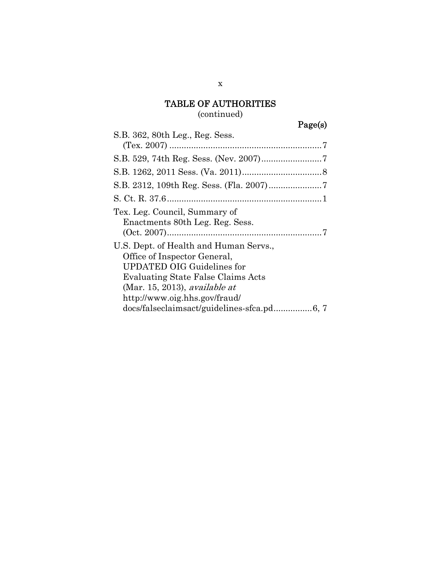### (continued)

# Page(s)

| S.B. 362, 80th Leg., Reg. Sess.                                                                                                                                                                                     |  |
|---------------------------------------------------------------------------------------------------------------------------------------------------------------------------------------------------------------------|--|
|                                                                                                                                                                                                                     |  |
|                                                                                                                                                                                                                     |  |
|                                                                                                                                                                                                                     |  |
|                                                                                                                                                                                                                     |  |
|                                                                                                                                                                                                                     |  |
| Tex. Leg. Council, Summary of<br>Enactments 80th Leg. Reg. Sess.                                                                                                                                                    |  |
| U.S. Dept. of Health and Human Servs.,<br>Office of Inspector General,<br><b>UPDATED OIG Guidelines for</b><br>Evaluating State False Claims Acts<br>(Mar. 15, 2013), available at<br>http://www.oig.hhs.gov/fraud/ |  |
|                                                                                                                                                                                                                     |  |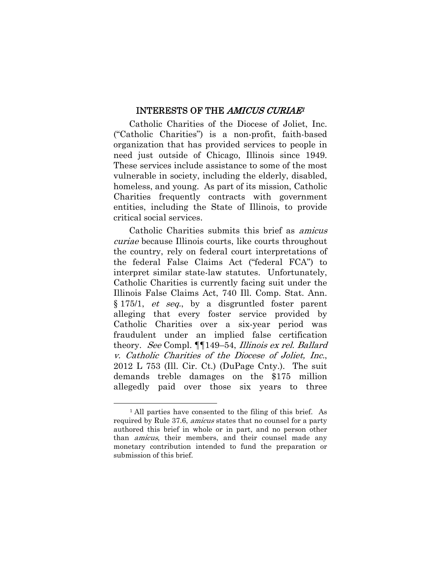#### INTERESTS OF THE AMICUS CURIAE<sup>1</sup>

Catholic Charities of the Diocese of Joliet, Inc. ("Catholic Charities") is a non-profit, faith-based organization that has provided services to people in need just outside of Chicago, Illinois since 1949. These services include assistance to some of the most vulnerable in society, including the elderly, disabled, homeless, and young. As part of its mission, Catholic Charities frequently contracts with government entities, including the State of Illinois, to provide critical social services.

Catholic Charities submits this brief as amicus curiae because Illinois courts, like courts throughout the country, rely on federal court interpretations of the federal False Claims Act ("federal FCA") to interpret similar state-law statutes. Unfortunately, Catholic Charities is currently facing suit under the Illinois False Claims Act, 740 Ill. Comp. Stat. Ann. § 175/1, et seq., by a disgruntled foster parent alleging that every foster service provided by Catholic Charities over a six-year period was fraudulent under an implied false certification theory. See Compl. ¶¶149–54, Illinois ex rel. Ballard v. Catholic Charities of the Diocese of Joliet, Inc., 2012 L 753 (Ill. Cir. Ct.) (DuPage Cnty.). The suit demands treble damages on the \$175 million allegedly paid over those six years to three

<sup>1</sup> All parties have consented to the filing of this brief. As required by Rule 37.6, amicus states that no counsel for a party authored this brief in whole or in part, and no person other than amicus, their members, and their counsel made any monetary contribution intended to fund the preparation or submission of this brief.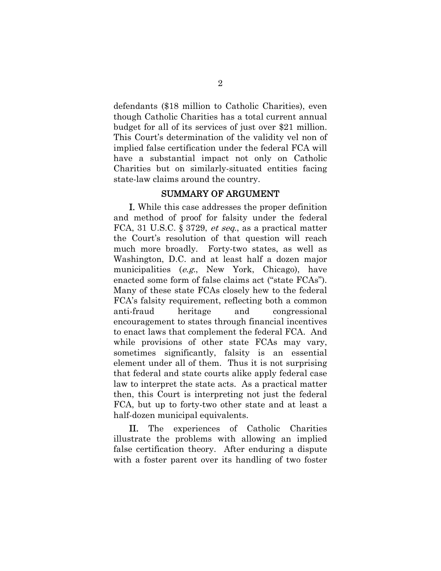defendants (\$18 million to Catholic Charities), even though Catholic Charities has a total current annual budget for all of its services of just over \$21 million. This Court's determination of the validity vel non of implied false certification under the federal FCA will have a substantial impact not only on Catholic Charities but on similarly-situated entities facing state-law claims around the country.

#### SUMMARY OF ARGUMENT

I. While this case addresses the proper definition and method of proof for falsity under the federal FCA, 31 U.S.C. § 3729, *et seq.*, as a practical matter the Court's resolution of that question will reach much more broadly. Forty-two states, as well as Washington, D.C. and at least half a dozen major municipalities (e.g., New York, Chicago), have enacted some form of false claims act ("state FCAs"). Many of these state FCAs closely hew to the federal FCA's falsity requirement, reflecting both a common anti-fraud heritage and congressional encouragement to states through financial incentives to enact laws that complement the federal FCA. And while provisions of other state FCAs may vary, sometimes significantly, falsity is an essential element under all of them. Thus it is not surprising that federal and state courts alike apply federal case law to interpret the state acts. As a practical matter then, this Court is interpreting not just the federal FCA, but up to forty-two other state and at least a half-dozen municipal equivalents.

II. The experiences of Catholic Charities illustrate the problems with allowing an implied false certification theory. After enduring a dispute with a foster parent over its handling of two foster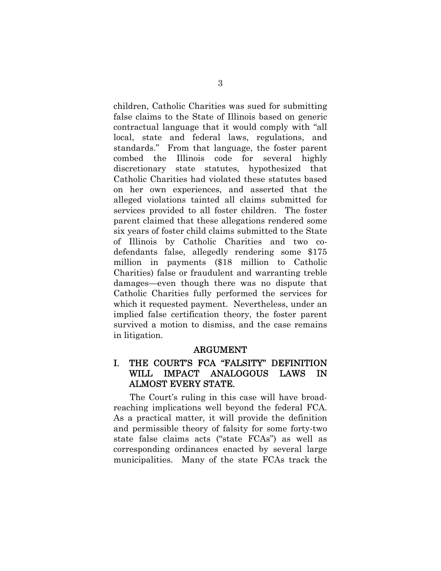children, Catholic Charities was sued for submitting false claims to the State of Illinois based on generic contractual language that it would comply with "all local, state and federal laws, regulations, and standards." From that language, the foster parent combed the Illinois code for several highly discretionary state statutes, hypothesized that Catholic Charities had violated these statutes based on her own experiences, and asserted that the alleged violations tainted all claims submitted for services provided to all foster children. The foster parent claimed that these allegations rendered some six years of foster child claims submitted to the State of Illinois by Catholic Charities and two codefendants false, allegedly rendering some \$175 million in payments (\$18 million to Catholic Charities) false or fraudulent and warranting treble damages—even though there was no dispute that Catholic Charities fully performed the services for which it requested payment. Nevertheless, under an implied false certification theory, the foster parent survived a motion to dismiss, and the case remains in litigation.

#### ARGUMENT

#### I. THE COURT'S FCA "FALSITY" DEFINITION WILL IMPACT ANALOGOUS LAWS IN ALMOST EVERY STATE.

The Court's ruling in this case will have broadreaching implications well beyond the federal FCA. As a practical matter, it will provide the definition and permissible theory of falsity for some forty-two state false claims acts ("state FCAs") as well as corresponding ordinances enacted by several large municipalities. Many of the state FCAs track the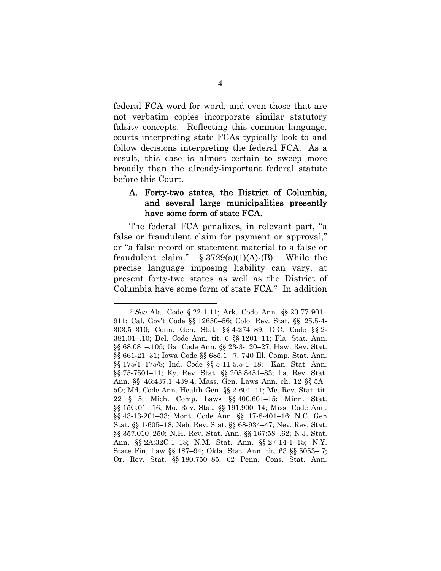federal FCA word for word, and even those that are not verbatim copies incorporate similar statutory falsity concepts. Reflecting this common language, courts interpreting state FCAs typically look to and follow decisions interpreting the federal FCA. As a result, this case is almost certain to sweep more broadly than the already-important federal statute before this Court.

#### A. Forty-two states, the District of Columbia, and several large municipalities presently have some form of state FCA.

The federal FCA penalizes, in relevant part, "a false or fraudulent claim for payment or approval," or "a false record or statement material to a false or fraudulent claim."  $\S 3729(a)(1)(A)-(B)$ . While the precise language imposing liability can vary, at present forty-two states as well as the District of Columbia have some form of state FCA.2 In addition

<sup>2</sup> See Ala. Code § 22-1-11; Ark. Code Ann. §§ 20-77-901– 911; Cal. Gov't Code §§ 12650–56; Colo. Rev. Stat. §§ 25.5-4- 303.5–310; Conn. Gen. Stat. §§ 4-274–89; D.C. Code §§ 2- 381.01–.10; Del. Code Ann. tit. 6 §§ 1201–11; Fla. Stat. Ann. §§ 68.081–.105; Ga. Code Ann. §§ 23-3-120–27; Haw. Rev. Stat. §§ 661-21–31; Iowa Code §§ 685.1–.7; 740 Ill. Comp. Stat. Ann. §§ 175/1–175/8; Ind. Code §§ 5-11-5.5-1–18; Kan. Stat. Ann. §§ 75-7501–11; Ky. Rev. Stat. §§ 205.8451–83; La. Rev. Stat. Ann. §§ 46:437.1–439.4; Mass. Gen. Laws Ann. ch. 12 §§ 5A– 5O; Md. Code Ann. Health-Gen. §§ 2-601–11; Me. Rev. Stat. tit. 22 § 15; Mich. Comp. Laws §§ 400.601–15; Minn. Stat. §§ 15C.01–.16; Mo. Rev. Stat. §§ 191.900–14; Miss. Code Ann. §§ 43-13-201–33; Mont. Code Ann. §§ 17-8-401–16; N.C. Gen Stat. §§ 1-605–18; Neb. Rev. Stat. §§ 68-934–47; Nev. Rev. Stat. §§ 357.010–250; N.H. Rev. Stat. Ann. §§ 167:58–.62; N.J. Stat. Ann. §§ 2A:32C-1–18; N.M. Stat. Ann. §§ 27-14-1–15; N.Y. State Fin. Law §§ 187–94; Okla. Stat. Ann. tit. 63 §§ 5053–.7; Or. Rev. Stat. §§ 180.750–85; 62 Penn. Cons. Stat. Ann.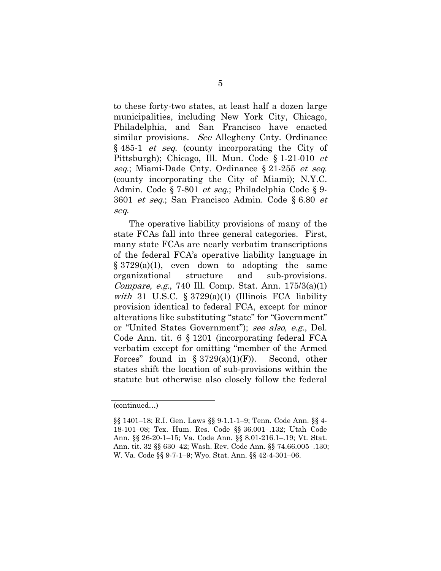to these forty-two states, at least half a dozen large municipalities, including New York City, Chicago, Philadelphia, and San Francisco have enacted similar provisions. See Allegheny Cnty. Ordinance § 485-1 et seq. (county incorporating the City of Pittsburgh); Chicago, Ill. Mun. Code § 1-21-010 *et* seq.; Miami-Dade Cnty. Ordinance § 21-255 et seq. (county incorporating the City of Miami); N.Y.C. Admin. Code § 7-801 et seq.; Philadelphia Code § 9- 3601 et seq.; San Francisco Admin. Code § 6.80 et seq.

The operative liability provisions of many of the state FCAs fall into three general categories. First, many state FCAs are nearly verbatim transcriptions of the federal FCA's operative liability language in  $\S 3729(a)(1)$ , even down to adopting the same organizational structure and sub-provisions. Compare, e.g., 740 Ill. Comp. Stat. Ann. 175/3(a)(1) with 31 U.S.C.  $\S 3729(a)(1)$  (Illinois FCA liability provision identical to federal FCA, except for minor alterations like substituting "state" for "Government" or "United States Government"); see also, e.g., Del. Code Ann. tit. 6 § 1201 (incorporating federal FCA verbatim except for omitting "member of the Armed Forces" found in  $\S 3729(a)(1)(F)$ . Second, other states shift the location of sub-provisions within the statute but otherwise also closely follow the federal

<sup>(</sup>continued…)

<sup>§§ 1401–18;</sup> R.I. Gen. Laws §§ 9-1.1-1–9; Tenn. Code Ann. §§ 4- 18-101–08; Tex. Hum. Res. Code §§ 36.001–.132; Utah Code Ann. §§ 26-20-1–15; Va. Code Ann. §§ 8.01-216.1–.19; Vt. Stat. Ann. tit. 32 §§ 630–42; Wash. Rev. Code Ann. §§ 74.66.005–.130; W. Va. Code §§ 9-7-1–9; Wyo. Stat. Ann. §§ 42-4-301–06.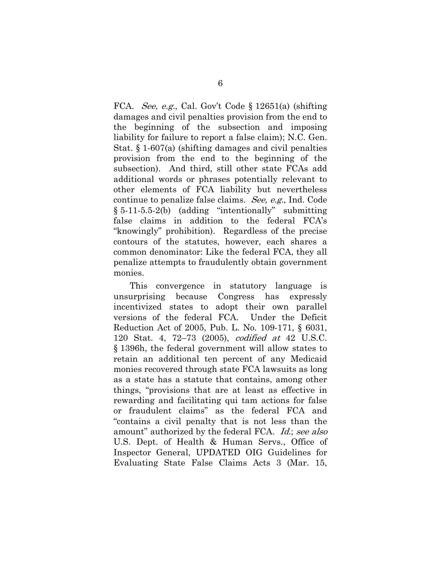FCA. See, e.g., Cal. Gov't Code § 12651(a) (shifting damages and civil penalties provision from the end to the beginning of the subsection and imposing liability for failure to report a false claim); N.C. Gen. Stat. § 1-607(a) (shifting damages and civil penalties provision from the end to the beginning of the subsection). And third, still other state FCAs add additional words or phrases potentially relevant to other elements of FCA liability but nevertheless continue to penalize false claims. See, e.g., Ind. Code § 5-11-5.5-2(b) (adding "intentionally" submitting false claims in addition to the federal FCA's "knowingly" prohibition). Regardless of the precise contours of the statutes, however, each shares a common denominator: Like the federal FCA, they all penalize attempts to fraudulently obtain government monies.

This convergence in statutory language is unsurprising because Congress has expressly incentivized states to adopt their own parallel versions of the federal FCA. Under the Deficit Reduction Act of 2005, Pub. L. No. 109-171, § 6031, 120 Stat. 4, 72–73 (2005), codified at 42 U.S.C. § 1396h, the federal government will allow states to retain an additional ten percent of any Medicaid monies recovered through state FCA lawsuits as long as a state has a statute that contains, among other things, "provisions that are at least as effective in rewarding and facilitating qui tam actions for false or fraudulent claims" as the federal FCA and "contains a civil penalty that is not less than the amount" authorized by the federal FCA. Id.; see also U.S. Dept. of Health & Human Servs., Office of Inspector General, UPDATED OIG Guidelines for Evaluating State False Claims Acts 3 (Mar. 15,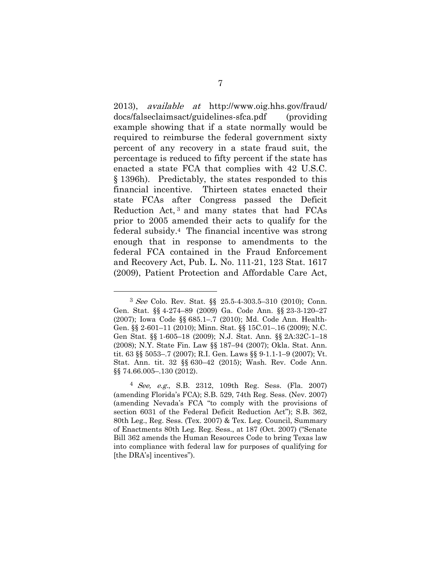2013), available at http://www.oig.hhs.gov/fraud/ docs/falseclaimsact/guidelines-sfca.pdf (providing example showing that if a state normally would be required to reimburse the federal government sixty percent of any recovery in a state fraud suit, the percentage is reduced to fifty percent if the state has enacted a state FCA that complies with 42 U.S.C. § 1396h). Predictably, the states responded to this financial incentive. Thirteen states enacted their state FCAs after Congress passed the Deficit Reduction Act, 3 and many states that had FCAs prior to 2005 amended their acts to qualify for the federal subsidy.4 The financial incentive was strong enough that in response to amendments to the federal FCA contained in the Fraud Enforcement and Recovery Act, Pub. L. No. 111-21, 123 Stat. 1617 (2009), Patient Protection and Affordable Care Act,

<sup>3</sup> See Colo. Rev. Stat. §§ 25.5-4-303.5–310 (2010); Conn. Gen. Stat. §§ 4-274–89 (2009) Ga. Code Ann. §§ 23-3-120–27 (2007); Iowa Code §§ 685.1–.7 (2010); Md. Code Ann. Health-Gen. §§ 2-601–11 (2010); Minn. Stat. §§ 15C.01–.16 (2009); N.C. Gen Stat. §§ 1-605–18 (2009); N.J. Stat. Ann. §§ 2A:32C-1–18 (2008); N.Y. State Fin. Law §§ 187–94 (2007); Okla. Stat. Ann. tit. 63 §§ 5053–.7 (2007); R.I. Gen. Laws §§ 9-1.1-1–9 (2007); Vt. Stat. Ann. tit. 32 §§ 630–42 (2015); Wash. Rev. Code Ann. §§ 74.66.005-.130 (2012).

 $\frac{4}{1}$  See, e.g., S.B. 2312, 109th Reg. Sess. (Fla. 2007) (amending Florida's FCA); S.B. 529, 74th Reg. Sess. (Nev. 2007) (amending Nevada's FCA "to comply with the provisions of section 6031 of the Federal Deficit Reduction Act"); S.B. 362, 80th Leg., Reg. Sess. (Tex. 2007) & Tex. Leg. Council, Summary of Enactments 80th Leg. Reg. Sess., at 187 (Oct. 2007) ("Senate Bill 362 amends the Human Resources Code to bring Texas law into compliance with federal law for purposes of qualifying for [the DRA's] incentives").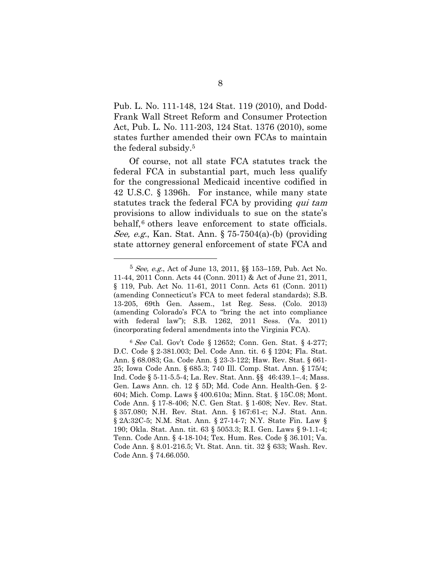Pub. L. No. 111-148, 124 Stat. 119 (2010), and Dodd-Frank Wall Street Reform and Consumer Protection Act, Pub. L. No. 111-203, 124 Stat. 1376 (2010), some states further amended their own FCAs to maintain the federal subsidy.5

Of course, not all state FCA statutes track the federal FCA in substantial part, much less qualify for the congressional Medicaid incentive codified in 42 U.S.C. § 1396h. For instance, while many state statutes track the federal FCA by providing qui tam provisions to allow individuals to sue on the state's behalf,<sup>6</sup> others leave enforcement to state officials. See, e.g., Kan. Stat. Ann.  $\S 75-7504(a)$ -(b) (providing state attorney general enforcement of state FCA and

<sup>5</sup> See, e.g., Act of June 13, 2011, §§ 153–159, Pub. Act No. 11-44, 2011 Conn. Acts 44 (Conn. 2011) & Act of June 21, 2011, § 119, Pub. Act No. 11-61, 2011 Conn. Acts 61 (Conn. 2011) (amending Connecticut's FCA to meet federal standards); S.B. 13-205, 69th Gen. Assem., 1st Reg. Sess. (Colo. 2013) (amending Colorado's FCA to "bring the act into compliance with federal law"); S.B. 1262, 2011 Sess. (Va. 2011) (incorporating federal amendments into the Virginia FCA).

<sup>6</sup> See Cal. Gov't Code § 12652; Conn. Gen. Stat. § 4-277; D.C. Code § 2-381.003; Del. Code Ann. tit. 6 § 1204; Fla. Stat. Ann. § 68.083; Ga. Code Ann. § 23-3-122; Haw. Rev. Stat. § 661- 25; Iowa Code Ann. § 685.3; 740 Ill. Comp. Stat. Ann. § 175/4; Ind. Code § 5-11-5.5-4; La. Rev. Stat. Ann. §§ 46:439.1–.4; Mass. Gen. Laws Ann. ch. 12 § 5D; Md. Code Ann. Health-Gen. § 2- 604; Mich. Comp. Laws § 400.610a; Minn. Stat. § 15C.08; Mont. Code Ann. § 17-8-406; N.C. Gen Stat. § 1-608; Nev. Rev. Stat. § 357.080; N.H. Rev. Stat. Ann. § 167:61-c; N.J. Stat. Ann. § 2A:32C-5; N.M. Stat. Ann. § 27-14-7; N.Y. State Fin. Law § 190; Okla. Stat. Ann. tit. 63 § 5053.3; R.I. Gen. Laws § 9-1.1-4; Tenn. Code Ann. § 4-18-104; Tex. Hum. Res. Code § 36.101; Va. Code Ann. § 8.01-216.5; Vt. Stat. Ann. tit. 32 § 633; Wash. Rev. Code Ann. § 74.66.050.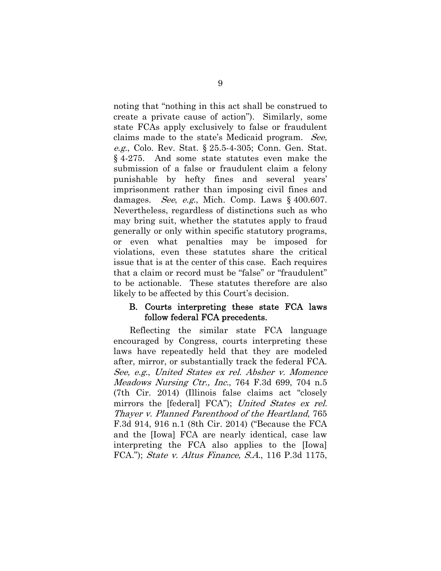noting that "nothing in this act shall be construed to create a private cause of action"). Similarly, some state FCAs apply exclusively to false or fraudulent claims made to the state's Medicaid program. See, e.g., Colo. Rev. Stat. § 25.5-4-305; Conn. Gen. Stat. § 4-275. And some state statutes even make the submission of a false or fraudulent claim a felony punishable by hefty fines and several years' imprisonment rather than imposing civil fines and damages. See, e.g., Mich. Comp. Laws  $\S$  400.607. Nevertheless, regardless of distinctions such as who may bring suit, whether the statutes apply to fraud generally or only within specific statutory programs, or even what penalties may be imposed for violations, even these statutes share the critical issue that is at the center of this case. Each requires that a claim or record must be "false" or "fraudulent" to be actionable. These statutes therefore are also likely to be affected by this Court's decision.

#### B. Courts interpreting these state FCA laws follow federal FCA precedents.

Reflecting the similar state FCA language encouraged by Congress, courts interpreting these laws have repeatedly held that they are modeled after, mirror, or substantially track the federal FCA. See, e.g., United States ex rel. Absher v. Momence Meadows Nursing Ctr., Inc., 764 F.3d 699, 704 n.5 (7th Cir. 2014) (Illinois false claims act "closely mirrors the [federal] FCA"); United States ex rel. Thayer v. Planned Parenthood of the Heartland, 765 F.3d 914, 916 n.1 (8th Cir. 2014) ("Because the FCA and the [Iowa] FCA are nearly identical, case law interpreting the FCA also applies to the [Iowa] FCA."); State v. Altus Finance, S.A., 116 P.3d 1175,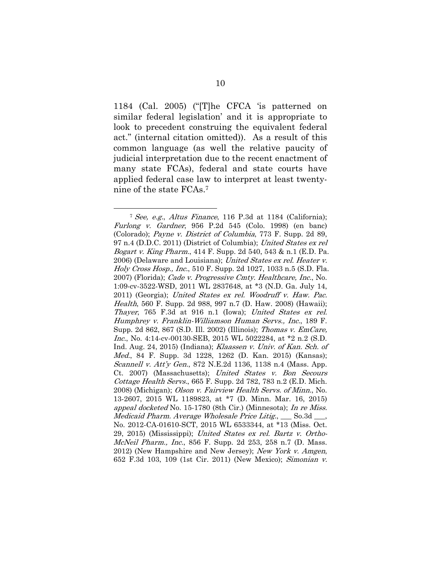1184 (Cal. 2005) ("[T]he CFCA 'is patterned on similar federal legislation' and it is appropriate to look to precedent construing the equivalent federal act." (internal citation omitted)). As a result of this common language (as well the relative paucity of judicial interpretation due to the recent enactment of many state FCAs), federal and state courts have applied federal case law to interpret at least twentynine of the state FCAs.7

<sup>7</sup> See, e.g., Altus Finance, 116 P.3d at 1184 (California); Furlong v. Gardner, 956 P.2d 545 (Colo. 1998) (en banc) (Colorado); Payne v. District of Columbia, 773 F. Supp. 2d 89, 97 n.4 (D.D.C. 2011) (District of Columbia); United States ex rel Bogart v. King Pharm., 414 F. Supp. 2d 540, 543 & n.1 (E.D. Pa. 2006) (Delaware and Louisiana); United States ex rel. Heater v. Holy Cross Hosp., Inc., 510 F. Supp. 2d 1027, 1033 n.5 (S.D. Fla. 2007) (Florida); Cade v. Progressive Cmty. Healthcare, Inc., No. 1:09-cv-3522-WSD, 2011 WL 2837648, at \*3 (N.D. Ga. July 14, 2011) (Georgia); United States ex rel. Woodruff v. Haw. Pac. Health, 560 F. Supp. 2d 988, 997 n.7 (D. Haw. 2008) (Hawaii); Thayer, 765 F.3d at 916 n.1 (Iowa); United States ex rel. Humphrey v. Franklin-Williamson Human Servs., Inc., 189 F. Supp. 2d 862, 867 (S.D. Ill. 2002) (Illinois); Thomas v. EmCare, Inc., No. 4:14 cv-00130-SEB, 2015 WL 5022284, at \*2 n.2 (S.D. Ind. Aug. 24, 2015) (Indiana); Klaassen v. Univ. of Kan. Sch. of Med., 84 F. Supp. 3d 1228, 1262 (D. Kan. 2015) (Kansas); Scannell v. Att'y Gen., 872 N.E.2d 1136, 1138 n.4 (Mass. App. Ct. 2007) (Massachusetts); United States v. Bon Secours Cottage Health Servs., 665 F. Supp. 2d 782, 783 n.2 (E.D. Mich. 2008) (Michigan); Olson v. Fairview Health Servs. of Minn., No. 13-2607, 2015 WL 1189823, at \*7 (D. Minn. Mar. 16, 2015) appeal docketed No. 15-1780 (8th Cir.) (Minnesota); In re Miss. Medicaid Pharm. Average Wholesale Price Litig., So.3d \_\_\_, No. 2012-CA-01610-SCT, 2015 WL 6533344, at \*13 (Miss. Oct. 29, 2015) (Mississippi); United States ex rel. Bartz v. Ortho-McNeil Pharm., Inc., 856 F. Supp. 2d 253, 258 n.7 (D. Mass. 2012) (New Hampshire and New Jersey); New York v. Amgen, 652 F.3d 103, 109 (1st Cir. 2011) (New Mexico); Simonian v.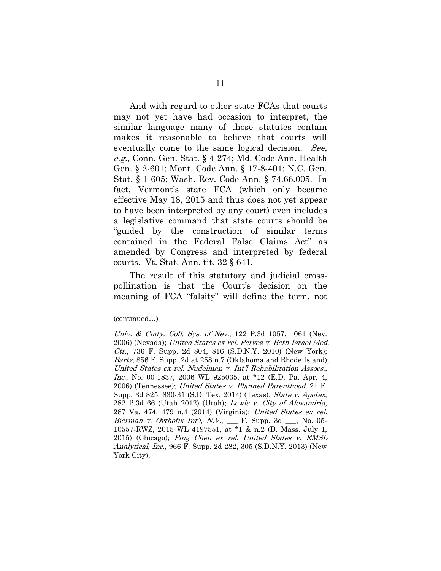And with regard to other state FCAs that courts may not yet have had occasion to interpret, the similar language many of those statutes contain makes it reasonable to believe that courts will eventually come to the same logical decision. See, e.g., Conn. Gen. Stat. § 4-274; Md. Code Ann. Health Gen. § 2-601; Mont. Code Ann. § 17-8-401; N.C. Gen. Stat. § 1-605; Wash. Rev. Code Ann. § 74.66.005. In fact, Vermont's state FCA (which only became effective May 18, 2015 and thus does not yet appear to have been interpreted by any court) even includes a legislative command that state courts should be "guided by the construction of similar terms contained in the Federal False Claims Act" as amended by Congress and interpreted by federal courts. Vt. Stat. Ann. tit. 32 § 641.

The result of this statutory and judicial crosspollination is that the Court's decision on the meaning of FCA "falsity" will define the term, not

<sup>(</sup>continued…)

Univ. & Cmty. Coll. Sys. of Nev., 122 P.3d 1057, 1061 (Nev. 2006) (Nevada); United States ex rel. Pervez v. Beth Israel Med. Ctr., 736 F. Supp. 2d 804, 816 (S.D.N.Y. 2010) (New York); Bartz, 856 F. Supp .2d at 258 n.7 (Oklahoma and Rhode Island); United States ex rel. Nudelman v. Int'l Rehabilitation Assocs., Inc., No. 00-1837, 2006 WL 925035, at \*12 (E.D. Pa. Apr. 4, 2006) (Tennessee); United States v. Planned Parenthood, 21 F. Supp. 3d 825, 830-31 (S.D. Tex. 2014) (Texas); State v. Apotex, 282 P.3d 66 (Utah 2012) (Utah); Lewis v. City of Alexandria, 287 Va. 474, 479 n.4 (2014) (Virginia); United States ex rel. Bierman v. Orthofix Int'l, N.V.,  $\quad$  F. Supp. 3d  $\quad$ , No. 05-10557-RWZ, 2015 WL 4197551, at \*1 & n.2 (D. Mass. July 1, 2015) (Chicago); Ping Chen ex rel. United States v. EMSL Analytical, Inc., 966 F. Supp. 2d 282, 305 (S.D.N.Y. 2013) (New York City).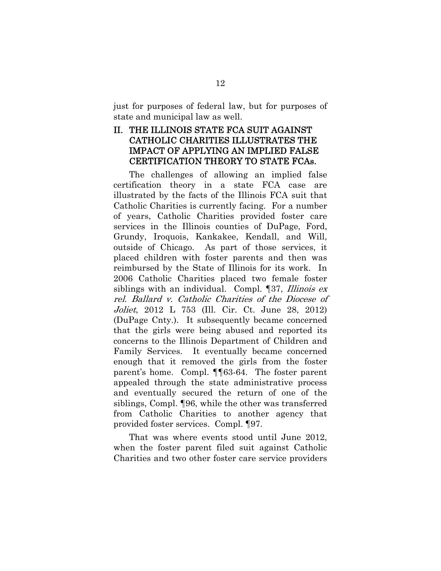just for purposes of federal law, but for purposes of state and municipal law as well.

#### II. THE ILLINOIS STATE FCA SUIT AGAINST CATHOLIC CHARITIES ILLUSTRATES THE IMPACT OF APPLYING AN IMPLIED FALSE CERTIFICATION THEORY TO STATE FCAs.

The challenges of allowing an implied false certification theory in a state FCA case are illustrated by the facts of the Illinois FCA suit that Catholic Charities is currently facing. For a number of years, Catholic Charities provided foster care services in the Illinois counties of DuPage, Ford, Grundy, Iroquois, Kankakee, Kendall, and Will, outside of Chicago. As part of those services, it placed children with foster parents and then was reimbursed by the State of Illinois for its work. In 2006 Catholic Charities placed two female foster siblings with an individual. Compl. [37, *Illinois ex* rel. Ballard v. Catholic Charities of the Diocese of Joliet, 2012 L 753 (Ill. Cir. Ct. June 28, 2012) (DuPage Cnty.). It subsequently became concerned that the girls were being abused and reported its concerns to the Illinois Department of Children and Family Services. It eventually became concerned enough that it removed the girls from the foster parent's home. Compl. ¶¶63-64. The foster parent appealed through the state administrative process and eventually secured the return of one of the siblings, Compl. ¶96, while the other was transferred from Catholic Charities to another agency that provided foster services. Compl. ¶97.

That was where events stood until June 2012, when the foster parent filed suit against Catholic Charities and two other foster care service providers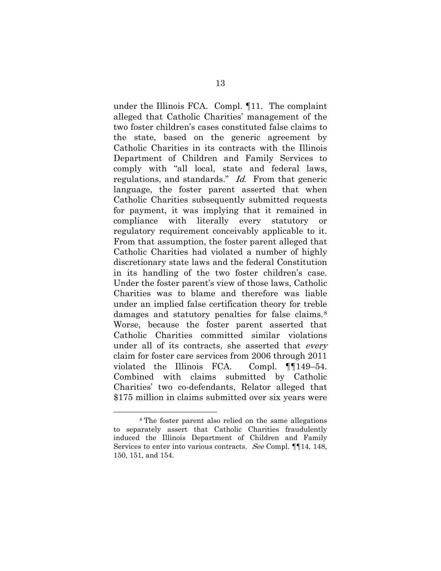under the Illinois FCA. Compl. ¶11. The complaint alleged that Catholic Charities' management of the two foster children's cases constituted false claims to the state, based on the generic agreement by Catholic Charities in its contracts with the Illinois Department of Children and Family Services to comply with "all local, state and federal laws, regulations, and standards." Id. From that generic language, the foster parent asserted that when Catholic Charities subsequently submitted requests for payment, it was implying that it remained in compliance with literally every statutory or regulatory requirement conceivably applicable to it. From that assumption, the foster parent alleged that Catholic Charities had violated a number of highly discretionary state laws and the federal Constitution in its handling of the two foster children's case. Under the foster parent's view of those laws, Catholic Charities was to blame and therefore was liable under an implied false certification theory for treble damages and statutory penalties for false claims.<sup>8</sup> Worse, because the foster parent asserted that Catholic Charities committed similar violations under all of its contracts, she asserted that *every* claim for foster care services from 2006 through 2011 violated the Illinois FCA. Compl. ¶¶149–54. Combined with claims submitted by Catholic Charities' two co-defendants, Relator alleged that \$175 million in claims submitted over six years were

<sup>8</sup> The foster parent also relied on the same allegations to separately assert that Catholic Charities fraudulently induced the Illinois Department of Children and Family Services to enter into various contracts. See Compl. **[14, 148,** 150, 151, and 154.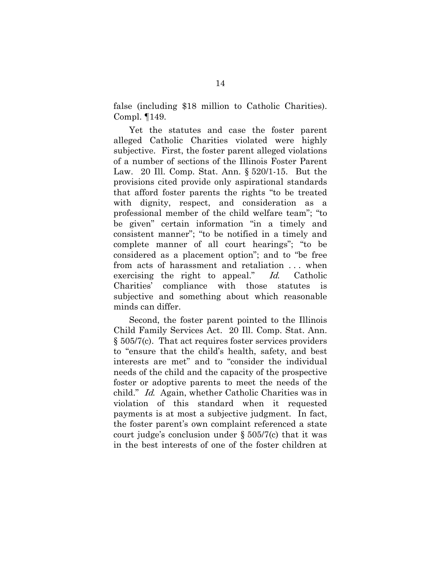false (including \$18 million to Catholic Charities). Compl. ¶149.

Yet the statutes and case the foster parent alleged Catholic Charities violated were highly subjective. First, the foster parent alleged violations of a number of sections of the Illinois Foster Parent Law. 20 Ill. Comp. Stat. Ann. § 520/1-15. But the provisions cited provide only aspirational standards that afford foster parents the rights "to be treated with dignity, respect, and consideration as a professional member of the child welfare team"; "to be given" certain information "in a timely and consistent manner"; "to be notified in a timely and complete manner of all court hearings"; "to be considered as a placement option"; and to "be free from acts of harassment and retaliation . . . when exercising the right to appeal." Id. Catholic Charities' compliance with those statutes is subjective and something about which reasonable minds can differ.

Second, the foster parent pointed to the Illinois Child Family Services Act. 20 Ill. Comp. Stat. Ann. § 505/7(c). That act requires foster services providers to "ensure that the child's health, safety, and best interests are met" and to "consider the individual needs of the child and the capacity of the prospective foster or adoptive parents to meet the needs of the child." Id. Again, whether Catholic Charities was in violation of this standard when it requested payments is at most a subjective judgment. In fact, the foster parent's own complaint referenced a state court judge's conclusion under § 505/7(c) that it was in the best interests of one of the foster children at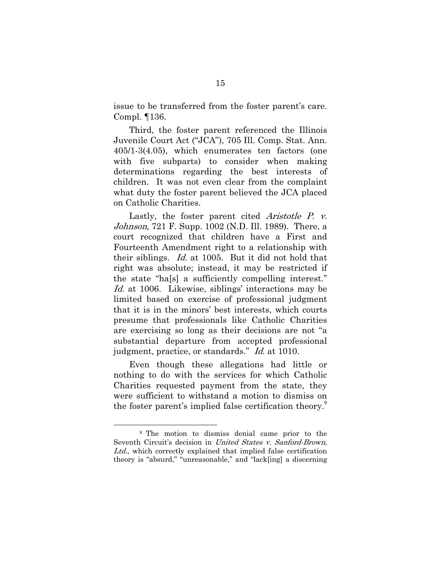issue to be transferred from the foster parent's care. Compl. ¶136.

Third, the foster parent referenced the Illinois Juvenile Court Act ("JCA"), 705 Ill. Comp. Stat. Ann. 405/1-3(4.05), which enumerates ten factors (one with five subparts) to consider when making determinations regarding the best interests of children. It was not even clear from the complaint what duty the foster parent believed the JCA placed on Catholic Charities.

Lastly, the foster parent cited *Aristotle P. v.* Johnson, 721 F. Supp. 1002 (N.D. Ill. 1989). There, a court recognized that children have a First and Fourteenth Amendment right to a relationship with their siblings. Id. at 1005. But it did not hold that right was absolute; instead, it may be restricted if the state "ha[s] a sufficiently compelling interest." Id. at 1006. Likewise, siblings' interactions may be limited based on exercise of professional judgment that it is in the minors' best interests, which courts presume that professionals like Catholic Charities are exercising so long as their decisions are not "a substantial departure from accepted professional judgment, practice, or standards." Id. at 1010.

Even though these allegations had little or nothing to do with the services for which Catholic Charities requested payment from the state, they were sufficient to withstand a motion to dismiss on the foster parent's implied false certification theory.<sup>9</sup>

<sup>9</sup> The motion to dismiss denial came prior to the Seventh Circuit's decision in United States v. Sanford-Brown, Ltd., which correctly explained that implied false certification theory is "absurd," "unreasonable," and "lack[ing] a discerning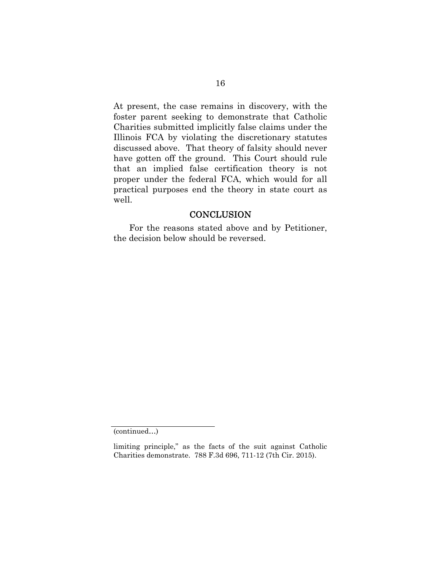At present, the case remains in discovery, with the foster parent seeking to demonstrate that Catholic Charities submitted implicitly false claims under the Illinois FCA by violating the discretionary statutes discussed above. That theory of falsity should never have gotten off the ground. This Court should rule that an implied false certification theory is not proper under the federal FCA, which would for all practical purposes end the theory in state court as well.

#### **CONCLUSION**

For the reasons stated above and by Petitioner, the decision below should be reversed.

<sup>(</sup>continued…)

limiting principle," as the facts of the suit against Catholic Charities demonstrate. 788 F.3d 696, 711-12 (7th Cir. 2015).